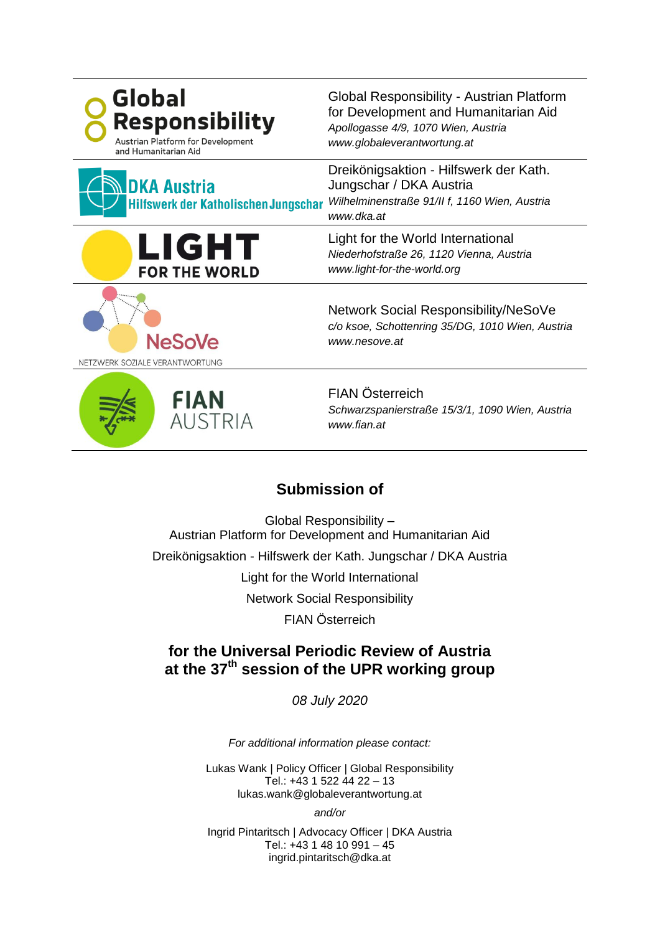| <b>Global</b><br><b>Responsibility</b><br><b>Austrian Platform for Development</b><br>and Humanitarian Aid | Global Responsibility - Austrian Platform<br>for Development and Humanitarian Aid<br>Apollogasse 4/9, 1070 Wien, Austria<br>www.globaleverantwortung.at |
|------------------------------------------------------------------------------------------------------------|---------------------------------------------------------------------------------------------------------------------------------------------------------|
| <b>DKA Austria</b><br>Hilfswerk der Katholischen Jungschar                                                 | Dreikönigsaktion - Hilfswerk der Kath.<br>Jungschar / DKA Austria<br>Wilhelminenstraße 91/II f, 1160 Wien, Austria<br>www.dka.at                        |
| LIGHT<br><b>FOR THE WORLD</b>                                                                              | Light for the World International<br>Niederhofstraße 26, 1120 Vienna, Austria<br>www.light-for-the-world.org                                            |
| <b>NeSoVe</b><br>NETZWERK SOZIALE VERANTWORTUNG                                                            | <b>Network Social Responsibility/NeSoVe</b><br>c/o ksoe, Schottenring 35/DG, 1010 Wien, Austria<br>www.nesove.at                                        |
| <b>FIAN</b><br><b>AUSTRIA</b>                                                                              | <b>FIAN Österreich</b><br>Schwarzspanierstraße 15/3/1, 1090 Wien, Austria<br>www.fian.at                                                                |
| <b>Submission of</b>                                                                                       |                                                                                                                                                         |

Global Responsibility – Austrian Platform for Development and Humanitarian Aid Dreikönigsaktion - Hilfswerk der Kath. Jungschar / DKA Austria Light for the World International Network Social Responsibility FIAN Österreich

# **for the Universal Periodic Review of Austria at the 37th session of the UPR working group**

*08 July 2020*

*For additional information please contact:*

Lukas Wank | Policy Officer | Global Responsibility Tel.: +43 1 522 44 22 – 13 lukas.wank@globaleverantwortung.at

*and/or*

Ingrid Pintaritsch | Advocacy Officer | DKA Austria Tel.: +43 1 48 10 991 – 45 ingrid.pintaritsch@dka.at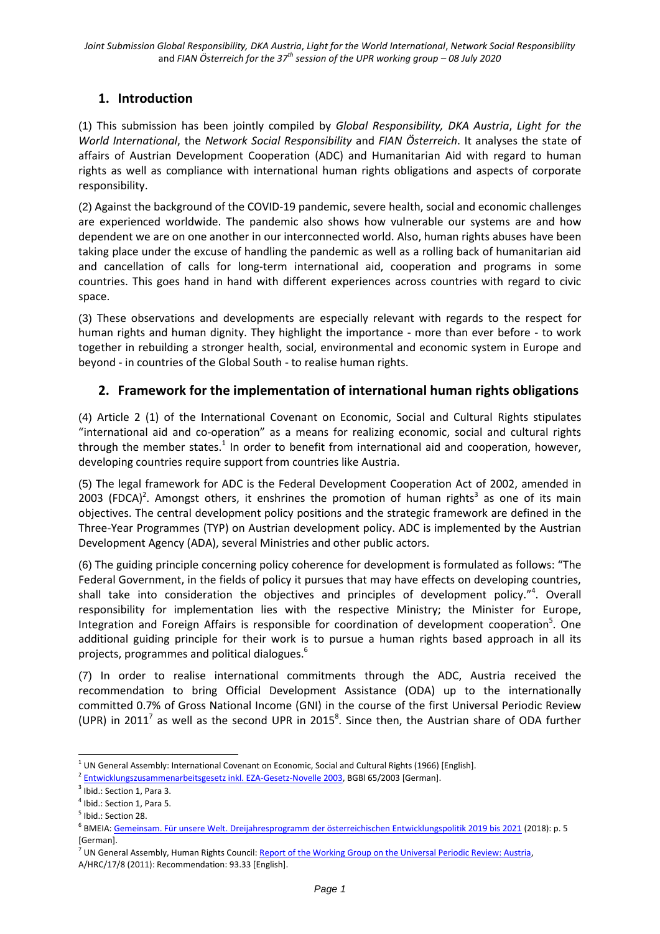# **1. Introduction**

(1) This submission has been jointly compiled by *Global Responsibility, DKA Austria*, *Light for the World International*, the *Network Social Responsibility* and *FIAN Österreich*. It analyses the state of affairs of Austrian Development Cooperation (ADC) and Humanitarian Aid with regard to human rights as well as compliance with international human rights obligations and aspects of corporate responsibility.

(2) Against the background of the COVID-19 pandemic, severe health, social and economic challenges are experienced worldwide. The pandemic also shows how vulnerable our systems are and how dependent we are on one another in our interconnected world. Also, human rights abuses have been taking place under the excuse of handling the pandemic as well as a rolling back of humanitarian aid and cancellation of calls for long-term international aid, cooperation and programs in some countries. This goes hand in hand with different experiences across countries with regard to civic space.

(3) These observations and developments are especially relevant with regards to the respect for human rights and human dignity. They highlight the importance - more than ever before - to work together in rebuilding a stronger health, social, environmental and economic system in Europe and beyond - in countries of the Global South - to realise human rights.

# **2. Framework for the implementation of international human rights obligations**

(4) Article 2 (1) of the International Covenant on Economic, Social and Cultural Rights stipulates "international aid and co-operation" as a means for realizing economic, social and cultural rights through the member states.<sup>1</sup> In order to benefit from international aid and cooperation, however, developing countries require support from countries like Austria.

(5) The legal framework for ADC is the Federal Development Cooperation Act of 2002, amended in 2003 (FDCA)<sup>2</sup>. Amongst others, it enshrines the promotion of human rights<sup>3</sup> as one of its main objectives. The central development policy positions and the strategic framework are defined in the Three-Year Programmes (TYP) on Austrian development policy. ADC is implemented by the Austrian Development Agency (ADA), several Ministries and other public actors.

(6) The guiding principle concerning policy coherence for development is formulated as follows: "The Federal Government, in the fields of policy it pursues that may have effects on developing countries, shall take into consideration the objectives and principles of development policy."<sup>4</sup>. Overall responsibility for implementation lies with the respective Ministry; the Minister for Europe, Integration and Foreign Affairs is responsible for coordination of development cooperation<sup>5</sup>. One additional guiding principle for their work is to pursue a human rights based approach in all its projects, programmes and political dialogues.<sup>6</sup>

(7) In order to realise international commitments through the ADC, Austria received the recommendation to bring Official Development Assistance (ODA) up to the internationally committed 0.7% of Gross National Income (GNI) in the course of the first Universal Periodic Review (UPR) in 2011<sup>7</sup> as well as the second UPR in 2015<sup>8</sup>. Since then, the Austrian share of ODA further

<sup>-</sup> $1$  UN General Assembly: International Covenant on Economic, Social and Cultural Rights (1966) [English].

<sup>&</sup>lt;sup>2</sup> [Entwicklungszusammenarbeitsgesetz inkl. EZA-Gesetz-Novelle 2003,](https://www.ris.bka.gv.at/GeltendeFassung.wxe?Abfrage=Bundesnormen&Gesetzesnummer=20001847) BGBI 65/2003 [German].

<sup>&</sup>lt;sup>3</sup> Ibid.: Section 1, Para 3.

<sup>&</sup>lt;sup>4</sup> Ibid.: Section 1, Para 5.

<sup>&</sup>lt;sup>5</sup> Ibid.: Section 28.

<sup>6</sup> BMEIA: [Gemeinsam. Für unsere Welt. Dreijahresprogramm der österreichischen Entwicklungspolitik 2019 bis 2021](https://www.entwicklung.at/fileadmin/user_upload/Dokumente/Publikationen/3_JP/2019-2021_Dreijahresprogramm.pdf) (2018): p. 5 [German].

<sup>&</sup>lt;sup>7</sup> UN General Assembly, Human Rights Council: Report of the Working Group on the Universal Periodic Review: Austria, A/HRC/17/8 (2011): Recommendation: 93.33 [English].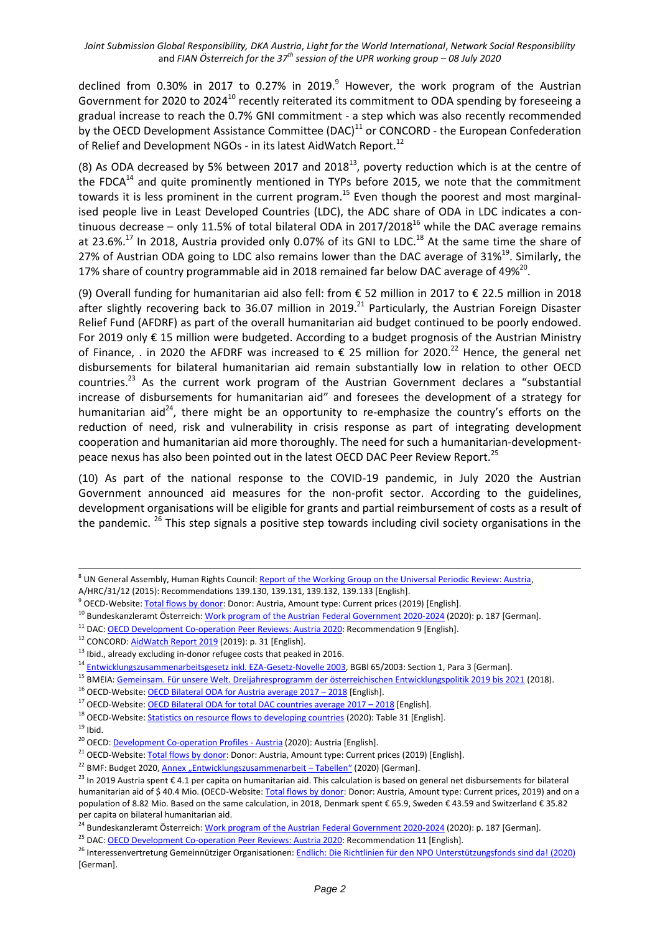declined from 0.30% in 2017 to 0.27% in 2019. $9$  However, the work program of the Austrian Government for 2020 to 2024<sup>10</sup> recently reiterated its commitment to ODA spending by foreseeing a gradual increase to reach the 0.7% GNI commitment - a step which was also recently recommended by the OECD Development Assistance Committee (DAC)<sup>11</sup> or CONCORD - the European Confederation of Relief and Development NGOs - in its latest AidWatch Report.<sup>12</sup>

(8) As ODA decreased by 5% between 2017 and 2018<sup>13</sup>, poverty reduction which is at the centre of the FDCA $^{14}$  and quite prominently mentioned in TYPs before 2015, we note that the commitment towards it is less prominent in the current program.<sup>15</sup> Even though the poorest and most marginalised people live in Least Developed Countries (LDC), the ADC share of ODA in LDC indicates a continuous decrease – only 11.5% of total bilateral ODA in 2017/2018<sup>16</sup> while the DAC average remains at 23.6%.<sup>17</sup> In 2018, Austria provided only 0.07% of its GNI to LDC.<sup>18</sup> At the same time the share of 27% of Austrian ODA going to LDC also remains lower than the DAC average of 31%<sup>19</sup>. Similarly, the 17% share of country programmable aid in 2018 remained far below DAC average of 49%<sup>20</sup>.

(9) Overall funding for humanitarian aid also fell: from € 52 million in 2017 to € 22.5 million in 2018 after slightly recovering back to 36.07 million in 2019.<sup>21</sup> Particularly, the Austrian Foreign Disaster Relief Fund (AFDRF) as part of the overall humanitarian aid budget continued to be poorly endowed. For 2019 only € 15 million were budgeted. According to a budget prognosis of the Austrian Ministry of Finance, . in 2020 the AFDRF was increased to  $\epsilon$  25 million for 2020.<sup>22</sup> Hence, the general net disbursements for bilateral humanitarian aid remain substantially low in relation to other OECD countries.<sup>23</sup> As the current work program of the Austrian Government declares a "substantial increase of disbursements for humanitarian aid" and foresees the development of a strategy for humanitarian aid<sup>24</sup>, there might be an opportunity to re-emphasize the country's efforts on the reduction of need, risk and vulnerability in crisis response as part of integrating development cooperation and humanitarian aid more thoroughly. The need for such a humanitarian-developmentpeace nexus has also been pointed out in the latest OECD DAC Peer Review Report.<sup>25</sup>

(10) As part of the national response to the COVID-19 pandemic, in July 2020 the Austrian Government announced aid measures for the non-profit sector. According to the guidelines, development organisations will be eligible for grants and partial reimbursement of costs as a result of the pandemic.  $^{26}$  This step signals a positive step towards including civil society organisations in the

<sup>11</sup> DAC: [OECD Development Co-operation Peer Reviews: Austria 2020:](https://www.oecd.org/dac/peer-reviews/oecd-development-co-operation-peer-reviews-austria-2020-03b626d5-en.htm) Recommendation 9 [English].

<sup>8</sup> UN General Assembly, Human Rights Council[: Report of the Working Group on the Universal Periodic Review: Austria,](http://daccess-ods.un.org/access.nsf/Get?Open&DS=A/HRC/31/12&Lang=E) 

A/HRC/31/12 (2015): Recommendations 139.130, 139.131, 139.132, 139.133 [English].

<sup>&</sup>lt;sup>9</sup> OECD-Website[: Total flows by donor:](http://stats.oecd.org/Index.aspx?QueryId=63165) Donor: Austria, Amount type: Current prices (2019) [English].

<sup>&</sup>lt;sup>10</sup> Bundeskanzleramt Österreich: [Work program of the Austrian Federal Government 2020-2024](https://www.bundeskanzleramt.gv.at/dam/jcr:7b9e6755-2115-440c-b2ec-cbf64a931aa8/RegProgramm-lang.pdf) (2020): p. 187 [German].

<sup>12</sup> CONCORD[: AidWatch Report 2019](https://concordeurope.org/wp-content/uploads/2019/11/CONCORD_AidWatch_Report_2019_web.pdf) (2019): p. 31 [English].

<sup>&</sup>lt;sup>13</sup> Ibid., already excluding in-donor refugee costs that peaked in 2016.

<sup>&</sup>lt;sup>14</sup> [Entwicklungszusammenarbeitsgesetz inkl. EZA-Gesetz-Novelle 2003,](https://www.ris.bka.gv.at/GeltendeFassung.wxe?Abfrage=Bundesnormen&Gesetzesnummer=20001847) BGBI 65/2003: Section 1, Para 3 [German].

<sup>&</sup>lt;sup>15</sup> BMEIA[: Gemeinsam. Für unsere Welt. Dreijahresprogramm der österreichischen Entwicklungspolitik 2019 bis 2021](https://www.entwicklung.at/fileadmin/user_upload/Dokumente/Publikationen/3_JP/2019-2021_Dreijahresprogramm.pdf) (2018).

<sup>&</sup>lt;sup>16</sup> OECD-Website: **OECD Bilateral ODA for Austria average 2017 – 2018** [English].

<sup>&</sup>lt;sup>17</sup> OECD-Website[: OECD Bilateral ODA for total DAC countries average 2017](https://public.tableau.com/views/AidAtAGlance/DACmembers?:embed=y&:display_count=no?&:showVizHome=no#1) - 2018 [English].

<sup>&</sup>lt;sup>18</sup> OECD-Website[: Statistics on resource flows to developing countries](https://www.oecd.org/dac/financing-sustainable-development/development-finance-data/statisticsonresourceflowstodevelopingcountries.htm) (2020): Table 31 [English].

 $19$  Ibid.

<sup>&</sup>lt;sup>20</sup> OECD: **Development Co-operation Profiles - Austria** (2020): Austria [English].

<sup>&</sup>lt;sup>21</sup> OECD-Website[: Total flows by donor:](http://stats.oecd.org/Index.aspx?QueryId=63165) Donor: Austria, Amount type: Current prices (2019) [English].

<sup>&</sup>lt;sup>22</sup> BMF: Budget 2020, [Annex "Entwicklungszusammenarbeit –](https://www.bmf.gv.at/dam/jcr:cdc31838-20c8-444a-965b-25e03c7928eb/Entwicklungszusammenarbeit_2020_Tabellen.xlsx) Tabellen" (2020) [German].

<sup>&</sup>lt;sup>23</sup> In 2019 Austria spent € 4.1 per capita on humanitarian aid. This calculation is based on general net disbursements for bilateral humanitarian aid of \$40.4 Mio. (OECD-Website[: Total flows by donor:](http://stats.oecd.org/Index.aspx?QueryId=63165) Donor: Austria, Amount type: Current prices, 2019) and on a population of 8.82 Mio. Based on the same calculation, in 2018, Denmark spent € 65.9, Sweden € 43.59 and Switzerland € 35.82 per capita on bilateral humanitarian aid.

<sup>&</sup>lt;sup>24</sup> Bundeskanzleramt Österreich: <u>Work program of the Austrian Federal Government 2020-2024</u> (2020): p. 187 [German].

<sup>&</sup>lt;sup>25</sup> DAC: [OECD Development Co-operation Peer Reviews: Austria 2020:](https://www.oecd.org/dac/peer-reviews/oecd-development-co-operation-peer-reviews-austria-2020-03b626d5-en.htm) Recommendation 11 [English].

<sup>&</sup>lt;sup>26</sup> Interessenvertretung Gemeinnütziger Organisationen[: Endlich: Die Richtlinien für den NPO Unterstützungsfonds sind da! \(2020\)](https://gemeinnuetzig.at/2020/07/endlich-die-richtlinien-fuer-den-npo-unterstuetzungsfonds-sind-da/) [German].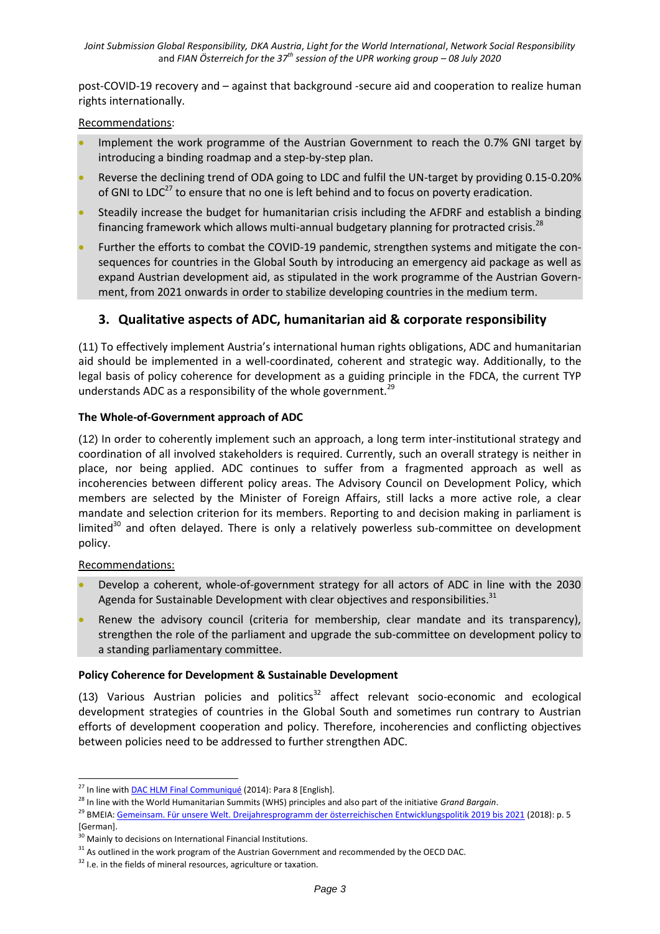post-COVID-19 recovery and – against that background -secure aid and cooperation to realize human rights internationally.

### Recommendations:

- Implement the work programme of the Austrian Government to reach the 0.7% GNI target by introducing a binding roadmap and a step-by-step plan.
- Reverse the declining trend of ODA going to LDC and fulfil the UN-target by providing 0.15-0.20% of GNI to LDC<sup>27</sup> to ensure that no one is left behind and to focus on poverty eradication.
- Steadily increase the budget for humanitarian crisis including the AFDRF and establish a binding financing framework which allows multi-annual budgetary planning for protracted crisis.<sup>28</sup>
- Further the efforts to combat the COVID-19 pandemic, strengthen systems and mitigate the consequences for countries in the Global South by introducing an emergency aid package as well as expand Austrian development aid, as stipulated in the work programme of the Austrian Government, from 2021 onwards in order to stabilize developing countries in the medium term.

# **3. Qualitative aspects of ADC, humanitarian aid & corporate responsibility**

(11) To effectively implement Austria's international human rights obligations, ADC and humanitarian aid should be implemented in a well-coordinated, coherent and strategic way. Additionally, to the legal basis of policy coherence for development as a guiding principle in the FDCA, the current TYP understands ADC as a responsibility of the whole government.<sup>29</sup>

## **The Whole-of-Government approach of ADC**

(12) In order to coherently implement such an approach, a long term inter-institutional strategy and coordination of all involved stakeholders is required. Currently, such an overall strategy is neither in place, nor being applied. ADC continues to suffer from a fragmented approach as well as incoherencies between different policy areas. The Advisory Council on Development Policy, which members are selected by the Minister of Foreign Affairs, still lacks a more active role, a clear mandate and selection criterion for its members. Reporting to and decision making in parliament is limited<sup>30</sup> and often delayed. There is only a relatively powerless sub-committee on development policy.

#### Recommendations:

-

- Develop a coherent, whole-of-government strategy for all actors of ADC in line with the 2030 Agenda for Sustainable Development with clear objectives and responsibilities.<sup>31</sup>
- Renew the advisory council (criteria for membership, clear mandate and its transparency), strengthen the role of the parliament and upgrade the sub-committee on development policy to a standing parliamentary committee.

#### **Policy Coherence for Development & Sustainable Development**

(13) Various Austrian policies and politics $32$  affect relevant socio-economic and ecological development strategies of countries in the Global South and sometimes run contrary to Austrian efforts of development cooperation and policy. Therefore, incoherencies and conflicting objectives between policies need to be addressed to further strengthen ADC.

 $^{27}$  In line wit[h DAC HLM Final Communiqué](http://www.oecd.org/dac/OECD%20DAC%20HLM%20Communique.pdf) (2014): Para 8 [English].

<sup>28</sup> In line with the World Humanitarian Summits (WHS) principles and also part of the initiative *Grand Bargain*.

<sup>&</sup>lt;sup>29</sup> BMEIA[: Gemeinsam. Für unsere Welt. Dreijahresprogramm der österreichischen Entwicklungspolitik 2019 bis 2021](https://www.entwicklung.at/fileadmin/user_upload/Dokumente/Publikationen/3_JP/2019-2021_Dreijahresprogramm.pdf) (2018): p. 5 [German].

<sup>&</sup>lt;sup>30</sup> Mainly to decisions on International Financial Institutions.

 $31$  As outlined in the work program of the Austrian Government and recommended by the OECD DAC.

<sup>&</sup>lt;sup>32</sup> I.e. in the fields of mineral resources, agriculture or taxation.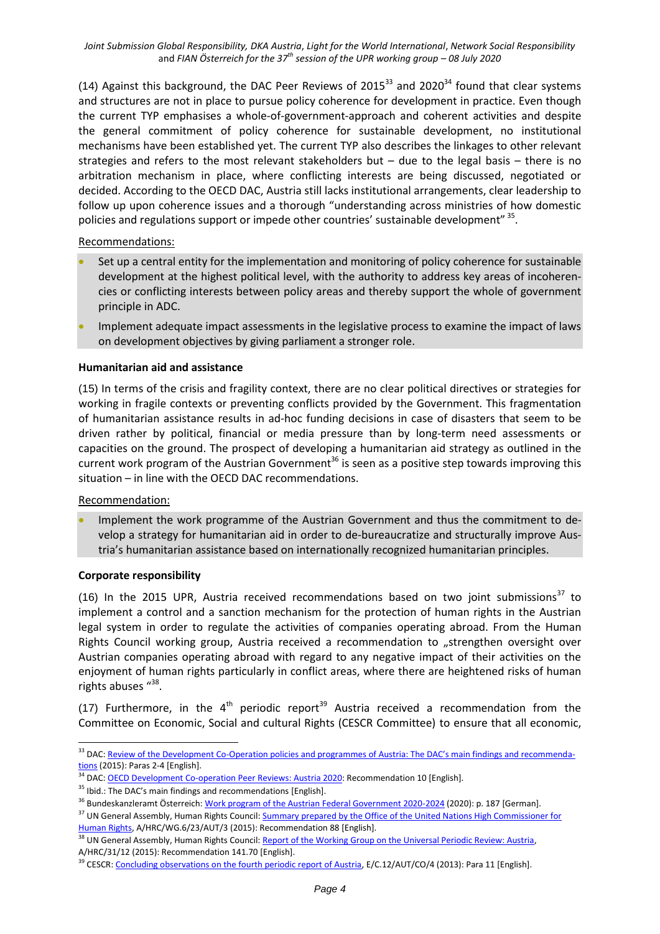*Joint Submission Global Responsibility, DKA Austria*, *Light for the World International*, *Network Social Responsibility*  and *FIAN Österreich for the 37th session of the UPR working group – 08 July 2020*

(14) Against this background, the DAC Peer Reviews of  $2015^{33}$  and  $2020^{34}$  found that clear systems and structures are not in place to pursue policy coherence for development in practice. Even though the current TYP emphasises a whole-of-government-approach and coherent activities and despite the general commitment of policy coherence for sustainable development, no institutional mechanisms have been established yet. The current TYP also describes the linkages to other relevant strategies and refers to the most relevant stakeholders but  $-$  due to the legal basis  $-$  there is no arbitration mechanism in place, where conflicting interests are being discussed, negotiated or decided. According to the OECD DAC, Austria still lacks institutional arrangements, clear leadership to follow up upon coherence issues and a thorough "understanding across ministries of how domestic policies and regulations support or impede other countries' sustainable development" <sup>35</sup>.

#### Recommendations:

- Set up a central entity for the implementation and monitoring of policy coherence for sustainable development at the highest political level, with the authority to address key areas of incoherencies or conflicting interests between policy areas and thereby support the whole of government principle in ADC.
- Implement adequate impact assessments in the legislative process to examine the impact of laws on development objectives by giving parliament a stronger role.

#### **Humanitarian aid and assistance**

(15) In terms of the crisis and fragility context, there are no clear political directives or strategies for working in fragile contexts or preventing conflicts provided by the Government. This fragmentation of humanitarian assistance results in ad-hoc funding decisions in case of disasters that seem to be driven rather by political, financial or media pressure than by long-term need assessments or capacities on the ground. The prospect of developing a humanitarian aid strategy as outlined in the current work program of the Austrian Government<sup>36</sup> is seen as a positive step towards improving this situation – in line with the OECD DAC recommendations.

#### Recommendation:

 Implement the work programme of the Austrian Government and thus the commitment to develop a strategy for humanitarian aid in order to de-bureaucratize and structurally improve Austria's humanitarian assistance based on internationally recognized humanitarian principles.

#### **Corporate responsibility**

(16) In the 2015 UPR, Austria received recommendations based on two joint submissions<sup>37</sup> to implement a control and a sanction mechanism for the protection of human rights in the Austrian legal system in order to regulate the activities of companies operating abroad. From the Human Rights Council working group, Austria received a recommendation to "strengthen oversight over Austrian companies operating abroad with regard to any negative impact of their activities on the enjoyment of human rights particularly in conflict areas, where there are heightened risks of human rights abuses "38.

(17) Furthermore, in the  $4<sup>th</sup>$  periodic report<sup>39</sup> Austria received a recommendation from the Committee on Economic, Social and cultural Rights (CESCR Committee) to ensure that all economic,

<sup>1</sup> <sup>33</sup> DAC: Review of the Development Co-[Operation policies and programmes of Austria: The DAC's main findings and recommend](https://www.oecd.org/dac/peer-reviews/4314131e.pdf)a[tions](https://www.oecd.org/dac/peer-reviews/4314131e.pdf) (2015): Paras 2-4 [English].

<sup>&</sup>lt;sup>34</sup> DAC: **OECD Development Co-operation Peer Reviews: Austria 2020</u>: Recommendation 10 [English].** 

 $35$  Ibid.: The DAC's main findings and recommendations [English].

<sup>&</sup>lt;sup>36</sup> Bundeskanzleramt Österreich: <u>Work program of the Austrian Federal Government 2020-2024</u> (2020): p. 187 [German].

<sup>&</sup>lt;sup>37</sup> UN General Assembly, Human Rights Council: Summary prepared by the Office of the United Nations High Commissioner for [Human Rights,](http://daccess-ods.un.org/access.nsf/Get?Open&DS=A/HRC/WG.6/23/AUT/3&Lang=E) A/HRC/WG.6/23/AUT/3 (2015): Recommendation 88 [English].

<sup>&</sup>lt;sup>38</sup> UN General Assembly, Human Rights Council: **Report of the Working Group on the Universal Periodic Review: Austria,** A/HRC/31/12 (2015): Recommendation 141.70 [English].

<sup>&</sup>lt;sup>39</sup> CESCR[: Concluding observations on the fourth periodic report of Austria,](https://undocs.org/en/E/C.12/AUT/CO/4) E/C.12/AUT/CO/4 (2013): Para 11 [English].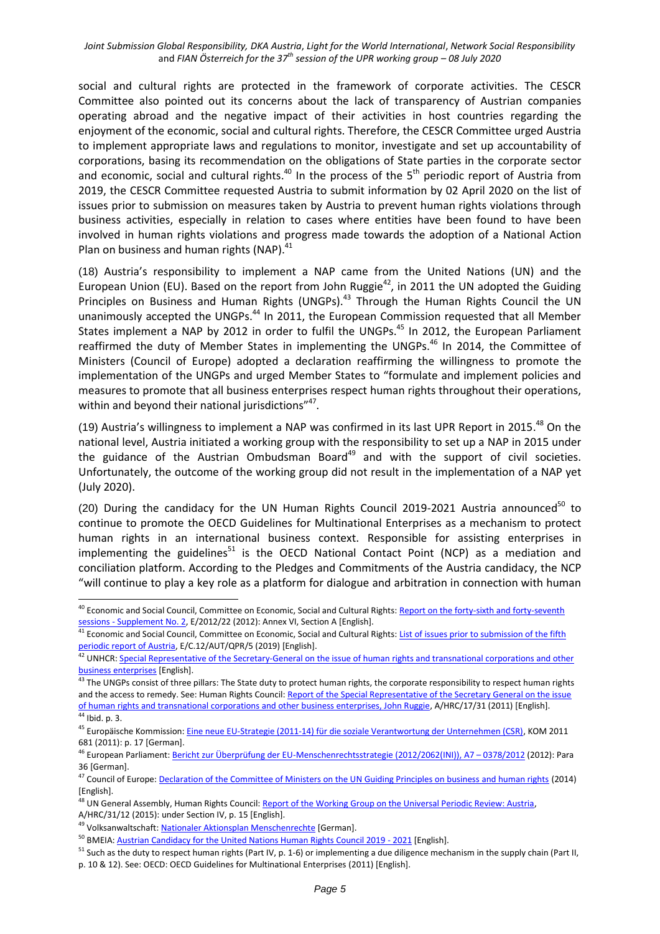social and cultural rights are protected in the framework of corporate activities. The CESCR Committee also pointed out its concerns about the lack of transparency of Austrian companies operating abroad and the negative impact of their activities in host countries regarding the enjoyment of the economic, social and cultural rights. Therefore, the CESCR Committee urged Austria to implement appropriate laws and regulations to monitor, investigate and set up accountability of corporations, basing its recommendation on the obligations of State parties in the corporate sector and economic, social and cultural rights.<sup>40</sup> In the process of the 5<sup>th</sup> periodic report of Austria from 2019, the CESCR Committee requested Austria to submit information by 02 April 2020 on the list of issues prior to submission on measures taken by Austria to prevent human rights violations through business activities, especially in relation to cases where entities have been found to have been involved in human rights violations and progress made towards the adoption of a National Action Plan on business and human rights (NAP).<sup>41</sup>

(18) Austria's responsibility to implement a NAP came from the United Nations (UN) and the European Union (EU). Based on the report from John Ruggie<sup>42</sup>, in 2011 the UN adopted the Guiding Principles on Business and Human Rights (UNGPs).<sup>43</sup> Through the Human Rights Council the UN unanimously accepted the UNGPs.<sup>44</sup> In 2011, the European Commission requested that all Member States implement a NAP by 2012 in order to fulfil the UNGPs.<sup>45</sup> In 2012, the European Parliament reaffirmed the duty of Member States in implementing the UNGPs.<sup>46</sup> In 2014, the Committee of Ministers (Council of Europe) adopted a declaration reaffirming the willingness to promote the implementation of the UNGPs and urged Member States to "formulate and implement policies and measures to promote that all business enterprises respect human rights throughout their operations, within and beyond their national jurisdictions"<sup>47</sup>.

(19) Austria's willingness to implement a NAP was confirmed in its last UPR Report in 2015.<sup>48</sup> On the national level, Austria initiated a working group with the responsibility to set up a NAP in 2015 under the guidance of the Austrian Ombudsman Board<sup>49</sup> and with the support of civil societies. Unfortunately, the outcome of the working group did not result in the implementation of a NAP yet (July 2020).

(20) During the candidacy for the UN Human Rights Council 2019-2021 Austria announced<sup>50</sup> to continue to promote the OECD Guidelines for Multinational Enterprises as a mechanism to protect human rights in an international business context. Responsible for assisting enterprises in implementing the guidelines<sup>51</sup> is the OECD National Contact Point (NCP) as a mediation and conciliation platform. According to the Pledges and Commitments of the Austria candidacy, the NCP "will continue to play a key role as a platform for dialogue and arbitration in connection with human

-

<sup>&</sup>lt;sup>40</sup> Economic and Social Council, Committee on Economic, Social and Cultural Rights: **Report on the forty-sixth and forty-seventh** sessions - [Supplement No. 2,](https://undocs.org/E/2012/22) E/2012/22 (2012): Annex VI, Section A [English].

<sup>41</sup> Economic and Social Council, Committee on Economic, Social and Cultural Rights: List of issues prior to submission of the fifth [periodic report of Austria,](https://undocs.org/en/E/C.12/WG/AUT/QPR/5) E/C.12/AUT/QPR/5 (2019) [English].

<sup>&</sup>lt;sup>42</sup> UNHCR: Special Representative of the Secretary-General on the issue of human rights and transnational corporations and other [business enterprises](https://www.ohchr.org/EN/Issues/Business/Pages/SRSGTransCorpIndex.aspx) [English].

 $43$  The UNGPs consist of three pillars: The State duty to protect human rights, the corporate responsibility to respect human rights and the access to remedy. See: Human Rights Council[: Report of the Special Representative of the Secretary General on the issue](https://www.ohchr.org/Documents/Issues/Business/A-HRC-17-31_AEV.pdf)  [of human rights and transnational corporations and other business enterprises, John Ruggie,](https://www.ohchr.org/Documents/Issues/Business/A-HRC-17-31_AEV.pdf) A/HRC/17/31 (2011) [English].  $\overline{44}$  Ibid. p. 3.

<sup>&</sup>lt;sup>45</sup> Europäische Kommission[: Eine neue EU-Strategie \(2011-14\) für die soziale Verantwortung der Unternehmen \(CSR\),](https://ec.europa.eu/transparency/regdoc/rep/1/2011/DE/1-2011-681-DE-F1-1.Pdf) KOM 2011 681 (2011): p. 17 [German].

<sup>46</sup> European Parliament[: Bericht zur Überprüfung der EU-Menschenrechtsstrategie \(2012/2062\(INI\)\), A7](https://www.europarl.europa.eu/sides/getDoc.do?pubRef=-//EP//TEXT+REPORT+A7-2012-0378+0+DOC+XML+V0//DE) – 0378/2012 (2012): Para 36 [German].

<sup>&</sup>lt;sup>47</sup> Council of Europe[: Declaration of the Committee of Ministers on the UN Guiding Principles on business and human rights](https://search.coe.int/cm/Pages/result_details.aspx?ObjectID=09000016805c6ee3) (2014) [English].

<sup>&</sup>lt;sup>48</sup> UN General Assembly, Human Rights Council: [Report of the Working Group on the Universal Periodic Review: Austria,](http://daccess-ods.un.org/access.nsf/Get?Open&DS=A/HRC/31/12&Lang=E) A/HRC/31/12 (2015): under Section IV, p. 15 [English].

<sup>&</sup>lt;sup>49</sup> Volksanwaltschaft[: Nationaler Aktionsplan Menschenrechte](https://volksanwaltschaft.gv.at/praeventive-menschenrechtskontrolle/nationaler-aktionsplan-menschenrechte-1#index-lead) [German].

<sup>&</sup>lt;sup>50</sup> BMEIA[: Austrian Candidacy for the United Nations Human Rights Council 2019 -](https://www.bmeia.gv.at/fileadmin/user_upload/Zentrale/Aussenpolitik/Menschenrechte/Pledges_and_commitments__AT_HRC_candidacy_edited.pdf) 2021 [English].

<sup>&</sup>lt;sup>51</sup> Such as the duty to respect human rights (Part IV, p. 1-6) or implementing a due diligence mechanism in the supply chain (Part II, p. 10 & 12). See: OECD[: OECD Guidelines for Multinational Enterprises](http://www.oecd.org/corporate/mne/48004323.pdf) (2011) [English].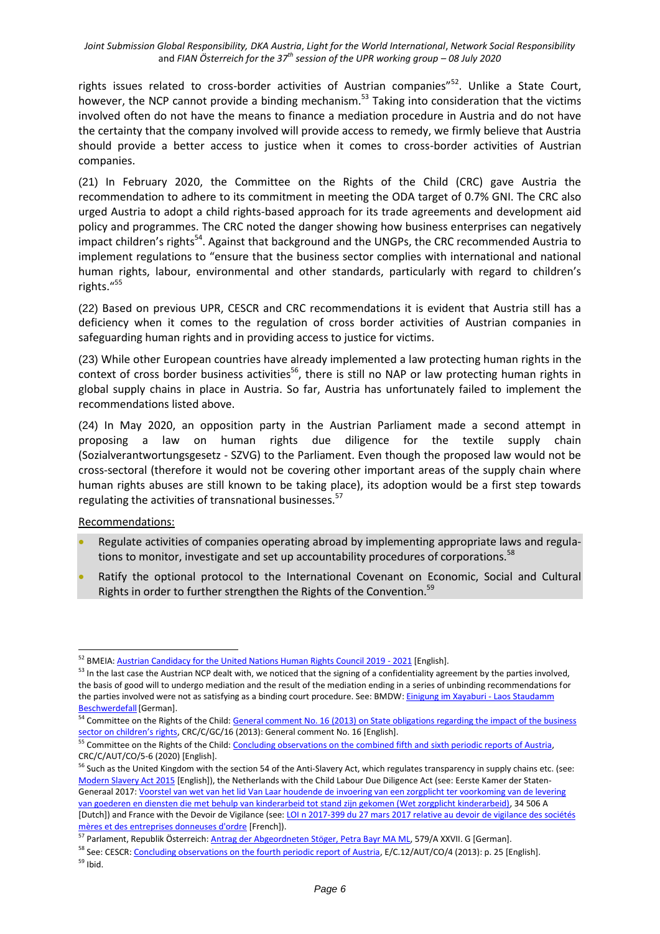rights issues related to cross-border activities of Austrian companies"<sup>52</sup>. Unlike a State Court, however, the NCP cannot provide a binding mechanism.<sup>53</sup> Taking into consideration that the victims involved often do not have the means to finance a mediation procedure in Austria and do not have the certainty that the company involved will provide access to remedy, we firmly believe that Austria should provide a better access to justice when it comes to cross-border activities of Austrian companies.

(21) In February 2020, the Committee on the Rights of the Child (CRC) gave Austria the recommendation to adhere to its commitment in meeting the ODA target of 0.7% GNI. The CRC also urged Austria to adopt a child rights-based approach for its trade agreements and development aid policy and programmes. The CRC noted the danger showing how business enterprises can negatively impact children's rights<sup>54</sup>. Against that background and the UNGPs, the CRC recommended Austria to implement regulations to "ensure that the business sector complies with international and national human rights, labour, environmental and other standards, particularly with regard to children's rights." 55

(22) Based on previous UPR, CESCR and CRC recommendations it is evident that Austria still has a deficiency when it comes to the regulation of cross border activities of Austrian companies in safeguarding human rights and in providing access to justice for victims.

(23) While other European countries have already implemented a law protecting human rights in the context of cross border business activities<sup>56</sup>, there is still no NAP or law protecting human rights in global supply chains in place in Austria. So far, Austria has unfortunately failed to implement the recommendations listed above.

(24) In May 2020, an opposition party in the Austrian Parliament made a second attempt in proposing a law on human rights due diligence for the textile supply chain (Sozialverantwortungsgesetz - SZVG) to the Parliament. Even though the proposed law would not be cross-sectoral (therefore it would not be covering other important areas of the supply chain where human rights abuses are still known to be taking place), its adoption would be a first step towards regulating the activities of transnational businesses.<sup>57</sup>

Recommendations:

- Regulate activities of companies operating abroad by implementing appropriate laws and regulations to monitor, investigate and set up accountability procedures of corporations.<sup>58</sup>
- Ratify the optional protocol to the International Covenant on Economic, Social and Cultural Rights in order to further strengthen the Rights of the Convention.<sup>59</sup>

<sup>-</sup><sup>52</sup> BMEIA[: Austrian Candidacy for the United Nations Human Rights Council 2019 -](https://www.bmeia.gv.at/fileadmin/user_upload/Zentrale/Aussenpolitik/Menschenrechte/Pledges_and_commitments__AT_HRC_candidacy_edited.pdf) 2021 [English].

<sup>&</sup>lt;sup>53</sup> In the last case the Austrian NCP dealt with, we noticed that the signing of a confidentiality agreement by the parties involved, the basis of good will to undergo mediation and the result of the mediation ending in a series of unbinding recommendations for the parties involved were not as satisfying as a binding court procedure. See: BMDW[: Einigung im Xayaburi -](https://www.bmdw.gv.at/Themen/International/OECD-Leitsaetze-multinationale-Unternehmen-OeNKP/Einigung-im-Xayaburi---Laos-Staudamm-Beschwerdefall.html) Laos Staudamm Beschwerdefall [German].

<sup>&</sup>lt;sup>54</sup> Committee on the Rights of the Child: General comment No. 16 (2013) on State obligations regarding the impact of the business [sector on children's rights](https://undocs.org/CRC/C/GC/16), CRC/C/GC/16 (2013): General comment No. 16 [English].

<sup>&</sup>lt;sup>55</sup> Committee on the Rights of the Child: [Concluding observations on the combined fifth and sixth periodic reports of Austria,](https://tbinternet.ohchr.org/Treaties/CRC/Shared%20Documents/AUT/CRC_C_AUT_CO_5-6_41509_E.pdf) CRC/C/AUT/CO/5-6 (2020) [English].

<sup>&</sup>lt;sup>56</sup> Such as the United Kingdom with the section 54 of the Anti-Slavery Act, which regulates transparency in supply chains etc. (see: [Modern Slavery Act 2015](http://www.legislation.gov.uk/ukpga/2015/30/section/54/enacted) [English]), the Netherlands with the Child Labour Due Diligence Act (see: Eerste Kamer der Staten-Generaal 2017: Voorstel [van wet van het lid Van Laar houdende de invoering van een zorgplicht ter voorkoming van de levering](https://www.eerstekamer.nl/behandeling/20170207/gewijzigd_voorstel_van_wet)  [van goederen en diensten die met behulp van kinderarbeid tot stand zijn gekomen \(Wet zorgplicht kinderarbeid\),](https://www.eerstekamer.nl/behandeling/20170207/gewijzigd_voorstel_van_wet) 34 506 A [Dutch]) and France with the Devoir de Vigilance (see: LOI n 2017-399 du 27 mars 2017 relative au devoir de vigilance des sociétés [mères et des entreprises donneuses d'ordre](https://www.legifrance.gouv.fr/affichTexte.do?cidTexte=JORFTEXT000034290626&categorieLien=id) [French]).

<sup>&</sup>lt;sup>57</sup> Parlament, Republik Österreich[: Antrag der Abgeordneten Stöger, Petra Bayr MA ML,](https://www.parlament.gv.at/PAKT/VHG/XXVII/A/A_00579/fnameorig_799938.html) 579/A XXVII. G [German].

<sup>&</sup>lt;sup>58</sup> See: CESCR: [Concluding observations on the fourth periodic report of Austria,](https://undocs.org/en/E/C.12/AUT/CO/4) E/C.12/AUT/CO/4 (2013): p. 25 [English]. <sup>59</sup> Ibid.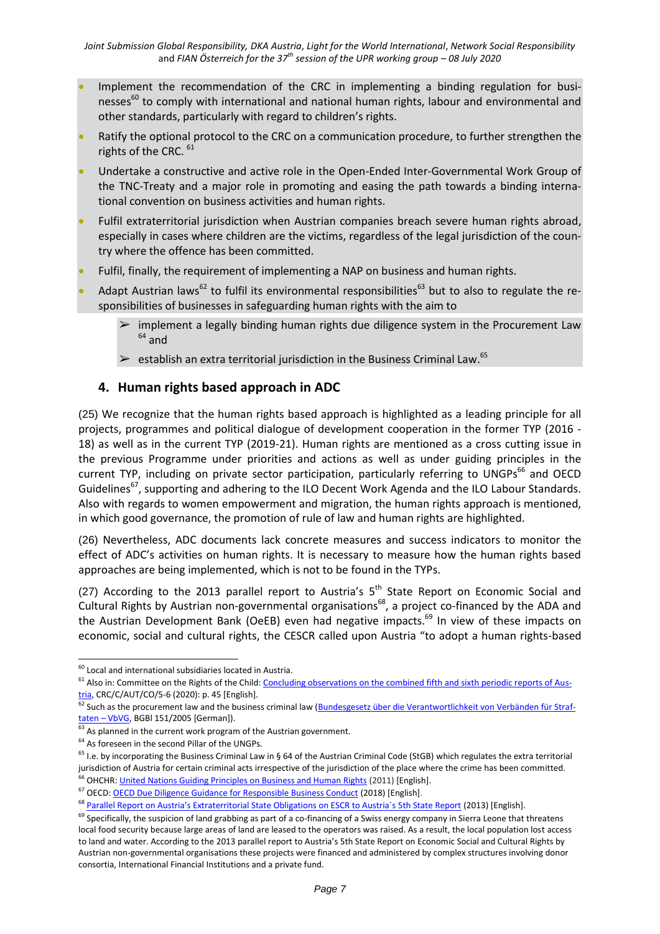- Implement the recommendation of the CRC in implementing a binding regulation for businesses $^{60}$  to comply with international and national human rights, labour and environmental and other standards, particularly with regard to children's rights.
- Ratify the optional protocol to the CRC on a communication procedure, to further strengthen the rights of the CRC. <sup>61</sup>
- Undertake a constructive and active role in the Open-Ended Inter-Governmental Work Group of the TNC-Treaty and a major role in promoting and easing the path towards a binding international convention on business activities and human rights.
- Fulfil extraterritorial jurisdiction when Austrian companies breach severe human rights abroad, especially in cases where children are the victims, regardless of the legal jurisdiction of the country where the offence has been committed.
- Fulfil, finally, the requirement of implementing a NAP on business and human rights.
- Adapt Austrian laws<sup>62</sup> to fulfil its environmental responsibilities<sup>63</sup> but to also to regulate the responsibilities of businesses in safeguarding human rights with the aim to
	- implement a legally binding human rights due diligence system in the Procurement Law  $64$  and
	- $\triangleright$  establish an extra territorial jurisdiction in the Business Criminal Law.<sup>65</sup>

# **4. Human rights based approach in ADC**

(25) We recognize that the human rights based approach is highlighted as a leading principle for all projects, programmes and political dialogue of development cooperation in the former TYP (2016 - 18) as well as in the current TYP (2019-21). Human rights are mentioned as a cross cutting issue in the previous Programme under priorities and actions as well as under guiding principles in the current TYP, including on private sector participation, particularly referring to UNGPs<sup>66</sup> and OECD Guidelines<sup>67</sup>, supporting and adhering to the ILO Decent Work Agenda and the ILO Labour Standards. Also with regards to women empowerment and migration, the human rights approach is mentioned, in which good governance, the promotion of rule of law and human rights are highlighted.

(26) Nevertheless, ADC documents lack concrete measures and success indicators to monitor the effect of ADC's activities on human rights. It is necessary to measure how the human rights based approaches are being implemented, which is not to be found in the TYPs.

(27) According to the 2013 parallel report to Austria's  $5<sup>th</sup>$  State Report on Economic Social and Cultural Rights by Austrian non-governmental organisations<sup>68</sup>, a project co-financed by the ADA and the Austrian Development Bank (OeEB) even had negative impacts.<sup>69</sup> In view of these impacts on economic, social and cultural rights, the CESCR called upon Austria "to adopt a human rights-based

1

 $60$  Local and international subsidiaries located in Austria.

<sup>&</sup>lt;sup>61</sup> Also in: Committee on the Rights of the Child[: Concluding observations on the combined fifth and sixth periodic reports of Aus](https://tbinternet.ohchr.org/Treaties/CRC/Shared%20Documents/AUT/CRC_C_AUT_CO_5-6_41509_E.pdf)[tria,](https://tbinternet.ohchr.org/Treaties/CRC/Shared%20Documents/AUT/CRC_C_AUT_CO_5-6_41509_E.pdf) CRC/C/AUT/CO/5-6 (2020): p. 45 [English].

<sup>62</sup> Such as the procurement law and the business criminal law [\(Bundesgesetz über die Verantwortlichkeit von Verbänden für Straf](https://www.ris.bka.gv.at/GeltendeFassung.wxe?Abfrage=Bundesnormen&Gesetzesnummer=20004425)taten – [VbVG,](https://www.ris.bka.gv.at/GeltendeFassung.wxe?Abfrage=Bundesnormen&Gesetzesnummer=20004425) BGBl 151/2005 [German]).

 $63$  As planned in the current work program of the Austrian government.

<sup>&</sup>lt;sup>64</sup> As foreseen in the second Pillar of the UNGPs.

 $65$  I.e. by incorporating the Business Criminal Law in § 64 of the Austrian Criminal Code (StGB) which regulates the extra territorial jurisdiction of Austria for certain criminal acts irrespective of the jurisdiction of the place where the crime has been committed.

<sup>&</sup>lt;sup>66</sup> OHCHR: [United Nations Guiding Principles on Business and Human Rights](file:///C:/Users/pinting.000/AppData/Local/Microsoft/Windows/INetCache/Content.Outlook/AGNZKAX3/.https:/www.ohchr.org/documents/publications/guidingprinciplesbusinesshr_en.pdf) (2011) [English].

<sup>67</sup> OECD[: OECD Due Diligence Guidance for Responsible Business Conduct](https://www.oecd.org/investment/due-diligence-guidance-for-responsible-business-conduct.htm) (2018) [English].

<sup>&</sup>lt;sup>68</sup> Parallel Report on Austria's Extraterritorial State Obligations on ESCR to Austria's 5th State Report (2013) [English].

<sup>&</sup>lt;sup>69</sup> Specifically, the suspicion of land grabbing as part of a co-financing of a Swiss energy company in Sierra Leone that threatens local food security because large areas of land are leased to the operators was raised. As a result, the local population lost access to land and water. According to the 2013 parallel report to Austria's 5th State Report on Economic Social and Cultural Rights by Austrian non-governmental organisations these projects were financed and administered by complex structures involving donor consortia, International Financial Institutions and a private fund.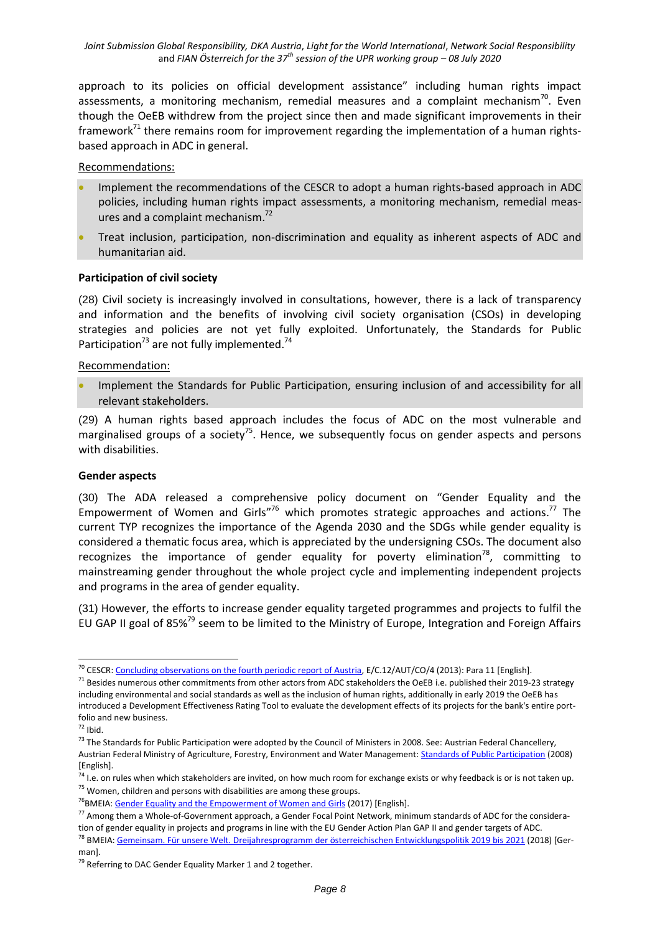approach to its policies on official development assistance" including human rights impact assessments, a monitoring mechanism, remedial measures and a complaint mechanism<sup>70</sup>. Even though the OeEB withdrew from the project since then and made significant improvements in their framework $71$  there remains room for improvement regarding the implementation of a human rightsbased approach in ADC in general.

## Recommendations:

- Implement the recommendations of the CESCR to adopt a human rights-based approach in ADC policies, including human rights impact assessments, a monitoring mechanism, remedial measures and a complaint mechanism.<sup>72</sup>
- Treat inclusion, participation, non-discrimination and equality as inherent aspects of ADC and humanitarian aid.

# **Participation of civil society**

(28) Civil society is increasingly involved in consultations, however, there is a lack of transparency and information and the benefits of involving civil society organisation (CSOs) in developing strategies and policies are not yet fully exploited. Unfortunately, the Standards for Public Participation<sup>73</sup> are not fully implemented.<sup>74</sup>

## Recommendation:

 Implement the Standards for Public Participation, ensuring inclusion of and accessibility for all relevant stakeholders.

(29) A human rights based approach includes the focus of ADC on the most vulnerable and marginalised groups of a society<sup>75</sup>. Hence, we subsequently focus on gender aspects and persons with disabilities.

#### **Gender aspects**

(30) The ADA released a comprehensive policy document on "Gender Equality and the Empowerment of Women and Girls"<sup>76</sup> which promotes strategic approaches and actions.<sup>77</sup> The current TYP recognizes the importance of the Agenda 2030 and the SDGs while gender equality is considered a thematic focus area, which is appreciated by the undersigning CSOs. The document also recognizes the importance of gender equality for poverty elimination<sup>78</sup>, committing to mainstreaming gender throughout the whole project cycle and implementing independent projects and programs in the area of gender equality.

(31) However, the efforts to increase gender equality targeted programmes and projects to fulfil the EU GAP II goal of 85%<sup>79</sup> seem to be limited to the Ministry of Europe, Integration and Foreign Affairs

1

<sup>&</sup>lt;sup>70</sup> CESCR[: Concluding observations on the fourth periodic report of Austria,](https://undocs.org/en/E/C.12/AUT/CO/4) E/C.12/AUT/CO/4 (2013): Para 11 [English].

<sup>&</sup>lt;sup>71</sup> Besides numerous other commitments from other actors from ADC stakeholders the OeEB i.e. published their 2019-23 strategy including environmental and social standards as well as the inclusion of human rights, additionally in early 2019 the OeEB has introduced a Development Effectiveness Rating Tool to evaluate the development effects of its projects for the bank's entire portfolio and new business.

 $72$  Ibid.

 $73$  The Standards for Public Participation were adopted by the Council of Ministers in 2008. See: Austrian Federal Chancellery, Austrian Federal Ministry of Agriculture, Forestry, Environment and Water Management: [Standards of Public Participation](https://www.partizipation.at/standards_pp.html) (2008) [English].

<sup>&</sup>lt;sup>74</sup> I.e. on rules when which stakeholders are invited, on how much room for exchange exists or why feedback is or is not taken up.  $75$  Women, children and persons with disabilities are among these groups.

 $76$ BMEIA[: Gender Equality and the Empowerment of Women and Girls](https://www.entwicklung.at/fileadmin/user_upload/Dokumente/Publikationen/Leitlinien/Englisch/PD_Gender_2017_EN.pdf) (2017) [English].

 $^{77}$  Among them a Whole-of-Government approach, a Gender Focal Point Network, minimum standards of ADC for the consideration of gender equality in projects and programs in line with the EU Gender Action Plan GAP II and gender targets of ADC. <sup>78</sup> BMEIA[: Gemeinsam. Für unsere Welt. Dreijahresprogramm der österreichischen Entwicklungspolitik 2019 bis 2021](https://www.entwicklung.at/fileadmin/user_upload/Dokumente/Publikationen/3_JP/2019-2021_Dreijahresprogramm.pdf) (2018) [German].

<sup>&</sup>lt;sup>79</sup> Referring to DAC Gender Equality Marker 1 and 2 together.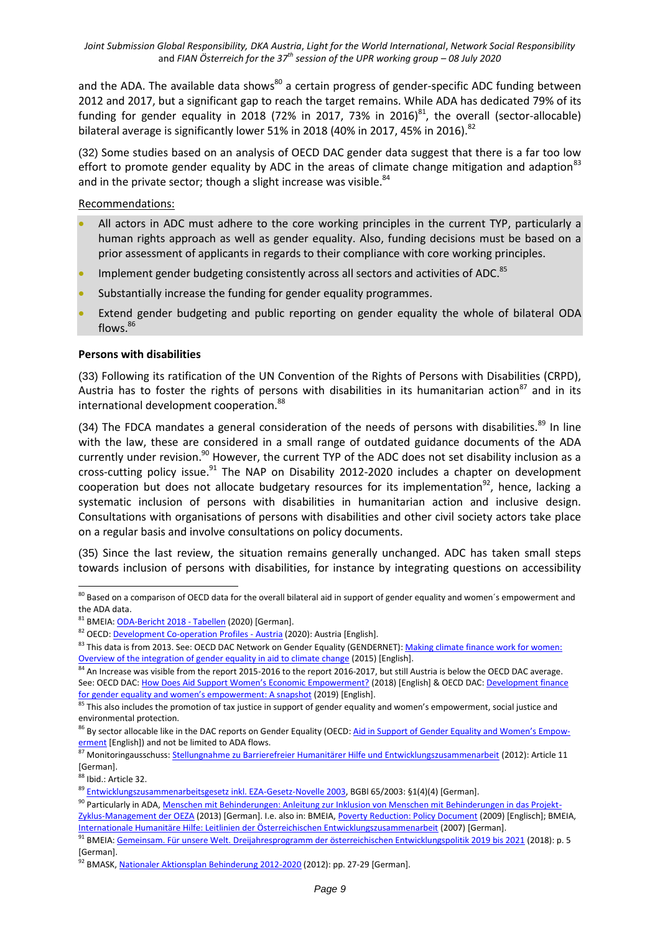and the ADA. The available data shows<sup>80</sup> a certain progress of gender-specific ADC funding between 2012 and 2017, but a significant gap to reach the target remains. While ADA has dedicated 79% of its funding for gender equality in 2018 (72% in 2017, 73% in 2016) $^{81}$ , the overall (sector-allocable) bilateral average is significantly lower 51% in 2018 (40% in 2017, 45% in 2016).<sup>82</sup>

(32) Some studies based on an analysis of OECD DAC gender data suggest that there is a far too low effort to promote gender equality by ADC in the areas of climate change mitigation and adaption<sup>83</sup> and in the private sector; though a slight increase was visible.<sup>84</sup>

Recommendations:

- All actors in ADC must adhere to the core working principles in the current TYP, particularly a human rights approach as well as gender equality. Also, funding decisions must be based on a prior assessment of applicants in regards to their compliance with core working principles.
- $\bullet$  Implement gender budgeting consistently across all sectors and activities of ADC.<sup>85</sup>
- Substantially increase the funding for gender equality programmes.
- Extend gender budgeting and public reporting on gender equality the whole of bilateral ODA flows. 86

#### **Persons with disabilities**

(33) Following its ratification of the UN Convention of the Rights of Persons with Disabilities (CRPD), Austria has to foster the rights of persons with disabilities in its humanitarian action<sup>87</sup> and in its international development cooperation.<sup>88</sup>

(34) The FDCA mandates a general consideration of the needs of persons with disabilities. $89$  In line with the law, these are considered in a small range of outdated guidance documents of the ADA currently under revision.<sup>90</sup> However, the current TYP of the ADC does not set disability inclusion as a cross-cutting policy issue.<sup>91</sup> The NAP on Disability 2012-2020 includes a chapter on development cooperation but does not allocate budgetary resources for its implementation<sup>92</sup>, hence, lacking a systematic inclusion of persons with disabilities in humanitarian action and inclusive design. Consultations with organisations of persons with disabilities and other civil society actors take place on a regular basis and involve consultations on policy documents.

(35) Since the last review, the situation remains generally unchanged. ADC has taken small steps towards inclusion of persons with disabilities, for instance by integrating questions on accessibility

<sup>1</sup>  $^{80}$  Based on a comparison of OECD data for the overall bilateral aid in support of gender equality and women´s empowerment and the ADA data.

<sup>81</sup> BMEIA[: ODA-Bericht 2018 -](https://www.entwicklung.at/fileadmin/user_upload/Dokumente/Publikationen/ODA-Berichte/ODA-Bericht_2018_Tabellen.pdf) Tabellen (2020) [German].

<sup>82</sup> OECD: **Development Co-operation Profiles - Austria (2020)**: Austria [English].

<sup>83</sup> This data is from 2013. See: OECD DAC Network on Gender Equality (GENDERNET): Making climate finance work for women: [Overview of the integration of gender equality in aid to climate change](https://www.oecd.org/dac/gender-development/Making-Climate-Finance-Work-for-Women.pdf) (2015) [English].

<sup>&</sup>lt;sup>84</sup> An Increase was visible from the report 2015-2016 to the report 2016-2017, but still Austria is below the OECD DAC average. See: OECD DAC: [How Does Aid Support Women's Economic Empowerment?](http://www.oecd.org/dac/gender-development/How-Does-Aid-Support-Womens-Economic-Empowerment.pdf) (2018) [English] & OECD DAC: Development finance [for gender equality and women's empowerment: A snapshot](http://www.oecd.org/development/gender-development/Dev-finance-for-gender-equality-and-womens-economic-empowerment-2019.pdf) (2019) [English].

 $85$  This also includes the promotion of tax justice in support of gender equality and women's empowerment, social justice and environmental protection.

<sup>&</sup>lt;sup>86</sup> By sector allocable like in the DAC reports on Gender Equality (OECD: Aid in [Support of Gender Equality and Women's Empo](http://www.oecd.org/dac/stats/aidinsupportofgenderequalityandwomensempowerment.htm)w[erment](http://www.oecd.org/dac/stats/aidinsupportofgenderequalityandwomensempowerment.htm) [English]) and not be limited to ADA flows.

<sup>87</sup> Monitoringausschuss: [Stellungnahme zu Barrierefreier Humanitärer Hilfe und Entwicklungszusammenarbeit](https://www.monitoringausschuss.at/download/stellungnahmen/entwicklungszusammenarbeit/MA_SN_Entwicklungszusammenarbeit_2012_04_12.pdf) (2012): Article 11 [German].

<sup>88</sup> Ibid.: Article 32.

<sup>&</sup>lt;sup>89</sup> [Entwicklungszusammenarbeitsgesetz inkl. EZA-Gesetz-Novelle 2003,](https://www.ris.bka.gv.at/GeltendeFassung.wxe?Abfrage=Bundesnormen&Gesetzesnummer=20001847) BGBI 65/2003: §1(4)(4) [German].

<sup>90</sup> Particularly in ADA, [Menschen mit Behinderungen: Anleitung zur Inklusion von Menschen mit Behinderungen in das Projekt-](https://www.entwicklung.at/fileadmin/user_upload/Dokumente/Publikationen/Handbuecher/Menschen_mB/HB_Menschen_mB.pdf)

[Zyklus-Management der OEZA](https://www.entwicklung.at/fileadmin/user_upload/Dokumente/Publikationen/Handbuecher/Menschen_mB/HB_Menschen_mB.pdf) (2013) [German]. I.e. also in: BMEIA[, Poverty Reduction: Policy Document](https://www.entwicklung.at/fileadmin/user_upload/Dokumente/Publikationen/Leitlinien/Englisch/PD_Poverty_reduction_Dec2009_EN.pdf) (2009) [Englisch]; BMEIA, [Internationale Humanitäre Hilfe: Leitlinien der Österreichischen Entwicklungszusammenarbeit](https://www.entwicklung.at/fileadmin/user_upload/Dokumente/Publikationen/Leitlinien/LL_HuHi_DE.pdf) (2007) [German].

<sup>91</sup> BMEIA[: Gemeinsam. Für unsere Welt. Dreijahresprogramm der österreichischen Entwicklungspolitik 2019 bis 2021](https://www.entwicklung.at/fileadmin/user_upload/Dokumente/Publikationen/3_JP/2019-2021_Dreijahresprogramm.pdf) (2018): p. 5 [German].

<sup>92</sup> BMASK[, Nationaler Aktionsplan Behinderung 2012-2020](https://broschuerenservice.sozialministerium.at/Home/Download?publicationId=165) (2012): pp. 27-29 [German].